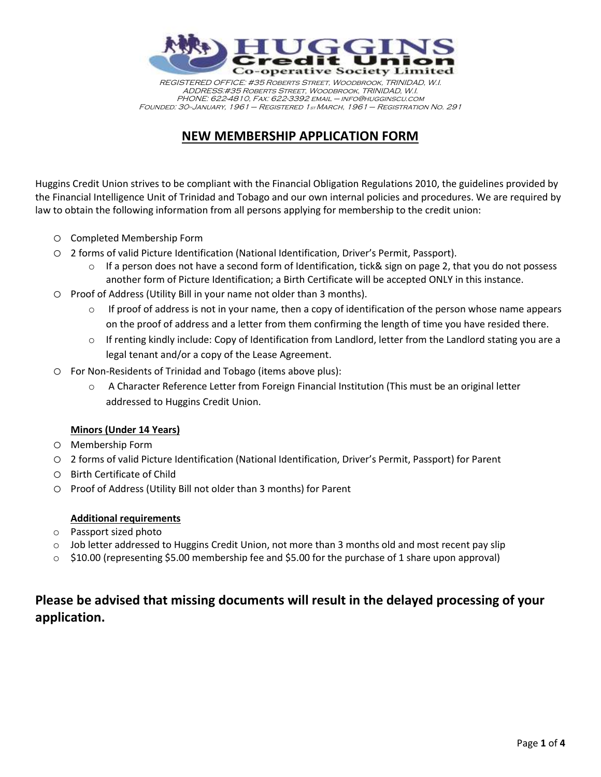

REGISTERED OFFICE: #35 Roberts Street, Woodbrook, TRINIDAD, W.I. ADDRESS:#35 Roberts Street, Woodbrook, TRINIDAD, W.I. PHONE: 622-4810, Fax: 622-3392 email – info@hugginscu.com FOUNDED: 30<sup>th</sup>JANUARY, 1961 – REGISTERED 1st MARCH, 1961 – REGISTRATION NO. 291

## **NEW MEMBERSHIP APPLICATION FORM**

Huggins Credit Union strives to be compliant with the Financial Obligation Regulations 2010, the guidelines provided by the Financial Intelligence Unit of Trinidad and Tobago and our own internal policies and procedures. We are required by law to obtain the following information from all persons applying for membership to the credit union:

- o Completed Membership Form
- o 2 forms of valid Picture Identification (National Identification, Driver's Permit, Passport).
	- $\circ$  If a person does not have a second form of Identification, tick& sign on page 2, that you do not possess another form of Picture Identification; a Birth Certificate will be accepted ONLY in this instance.
- o Proof of Address (Utility Bill in your name not older than 3 months).
	- $\circ$  If proof of address is not in your name, then a copy of identification of the person whose name appears on the proof of address and a letter from them confirming the length of time you have resided there.
	- o If renting kindly include: Copy of Identification from Landlord, letter from the Landlord stating you are a legal tenant and/or a copy of the Lease Agreement.
- o For Non-Residents of Trinidad and Tobago (items above plus):
	- o A Character Reference Letter from Foreign Financial Institution (This must be an original letter addressed to Huggins Credit Union.

### **Minors (Under 14 Years)**

- o Membership Form
- o 2 forms of valid Picture Identification (National Identification, Driver's Permit, Passport) for Parent
- o Birth Certificate of Child
- o Proof of Address (Utility Bill not older than 3 months) for Parent

#### **Additional requirements**

- o Passport sized photo
- o Job letter addressed to Huggins Credit Union, not more than 3 months old and most recent pay slip
- o \$10.00 (representing \$5.00 membership fee and \$5.00 for the purchase of 1 share upon approval)

### **Please be advised that missing documents will result in the delayed processing of your application.**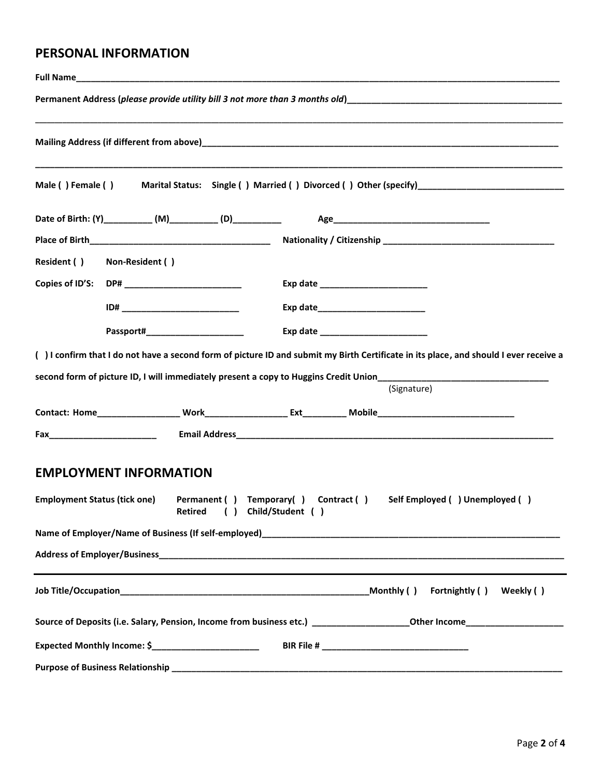### **PERSONAL INFORMATION**

| Mailing Address (if different from above) and the contract of the contract of the contract of the contract of the contract of the contract of the contract of the contract of the contract of the contract of the contract of |
|-------------------------------------------------------------------------------------------------------------------------------------------------------------------------------------------------------------------------------|
| Male () Female () Marital Status: Single () Married () Divorced () Other (specify)________________________                                                                                                                    |
|                                                                                                                                                                                                                               |
|                                                                                                                                                                                                                               |
| Resident ( ) Non-Resident ( )                                                                                                                                                                                                 |
| Copies of ID'S: DP# _______________________<br>Exp date ________________________                                                                                                                                              |
|                                                                                                                                                                                                                               |
|                                                                                                                                                                                                                               |
| () I confirm that I do not have a second form of picture ID and submit my Birth Certificate in its place, and should I ever receive a                                                                                         |
| second form of picture ID, I will immediately present a copy to Huggins Credit Union_____________________________                                                                                                             |
| (Signature)                                                                                                                                                                                                                   |
|                                                                                                                                                                                                                               |
|                                                                                                                                                                                                                               |
| <b>EMPLOYMENT INFORMATION</b>                                                                                                                                                                                                 |
| Permanent () Temporary() Contract () Self Employed () Unemployed ()<br><b>Employment Status (tick one)</b><br>Retired ( ) Child/Student ( )                                                                                   |
|                                                                                                                                                                                                                               |
|                                                                                                                                                                                                                               |
| Monthly ( )<br>Fortnightly () Weekly ()                                                                                                                                                                                       |
|                                                                                                                                                                                                                               |
| Expected Monthly Income: \$_________________________                                                                                                                                                                          |
|                                                                                                                                                                                                                               |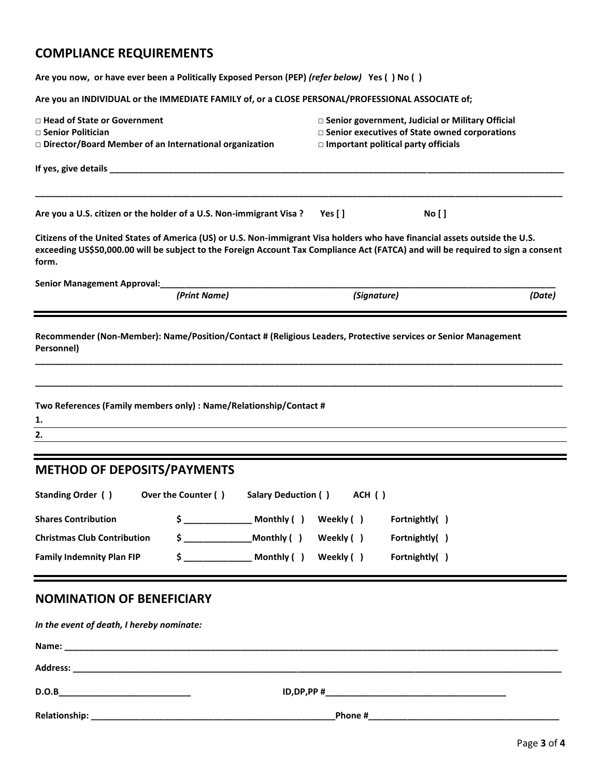# **COMPLIANCE REQUIREMENTS**

| Are you now, or have ever been a Politically Exposed Person (PEP) (refer below) Yes () No ()                                                                                                                                                                             |                                                                                                                                                     |  |
|--------------------------------------------------------------------------------------------------------------------------------------------------------------------------------------------------------------------------------------------------------------------------|-----------------------------------------------------------------------------------------------------------------------------------------------------|--|
| Are you an INDIVIDUAL or the IMMEDIATE FAMILY of, or a CLOSE PERSONAL/PROFESSIONAL ASSOCIATE of;                                                                                                                                                                         |                                                                                                                                                     |  |
| $\Box$ Head of State or Government<br>□ Senior Politician<br>□ Director/Board Member of an International organization                                                                                                                                                    | □ Senior government, Judicial or Military Official<br>□ Senior executives of State owned corporations<br>$\Box$ Important political party officials |  |
| If yes, give details ____________<br><u> 1980 - Johann John Stoff, deutscher Stoffen und der Stoffen und der Stoffen und der Stoffen und der Stoffen</u>                                                                                                                 |                                                                                                                                                     |  |
| Are you a U.S. citizen or the holder of a U.S. Non-immigrant Visa?                                                                                                                                                                                                       | Yes $[ ]$<br><b>No</b> [ ]                                                                                                                          |  |
| Citizens of the United States of America (US) or U.S. Non-immigrant Visa holders who have financial assets outside the U.S.<br>exceeding US\$50,000.00 will be subject to the Foreign Account Tax Compliance Act (FATCA) and will be required to sign a consent<br>form. |                                                                                                                                                     |  |
| Senior Management Approval: Management Approval:<br>(Print Name)                                                                                                                                                                                                         | (Signature)<br>(Date)                                                                                                                               |  |
| Personnel)<br>Two References (Family members only) : Name/Relationship/Contact #<br>1.<br>2.                                                                                                                                                                             |                                                                                                                                                     |  |
| <b>METHOD OF DEPOSITS/PAYMENTS</b>                                                                                                                                                                                                                                       |                                                                                                                                                     |  |
| Over the Counter ()<br>Standing Order ()<br>Salary Deduction ()                                                                                                                                                                                                          | ACH ()                                                                                                                                              |  |
| $\frac{1}{2}$ Monthly ()<br><b>Shares Contribution</b>                                                                                                                                                                                                                   | Weekly ()<br>Fortnightly()                                                                                                                          |  |
| $\frac{1}{2}$ Monthly ( )<br><b>Christmas Club Contribution</b>                                                                                                                                                                                                          | Weekly ()<br>Fortnightly()                                                                                                                          |  |
| $\frac{1}{2}$ Monthly ( )<br><b>Family Indemnity Plan FIP</b>                                                                                                                                                                                                            | Weekly ()<br>Fortnightly()                                                                                                                          |  |
| <b>NOMINATION OF BENEFICIARY</b>                                                                                                                                                                                                                                         |                                                                                                                                                     |  |
| In the event of death, I hereby nominate:                                                                                                                                                                                                                                |                                                                                                                                                     |  |
|                                                                                                                                                                                                                                                                          |                                                                                                                                                     |  |
|                                                                                                                                                                                                                                                                          |                                                                                                                                                     |  |
| D.O.B                                                                                                                                                                                                                                                                    |                                                                                                                                                     |  |
|                                                                                                                                                                                                                                                                          | Phone #___                                                                                                                                          |  |